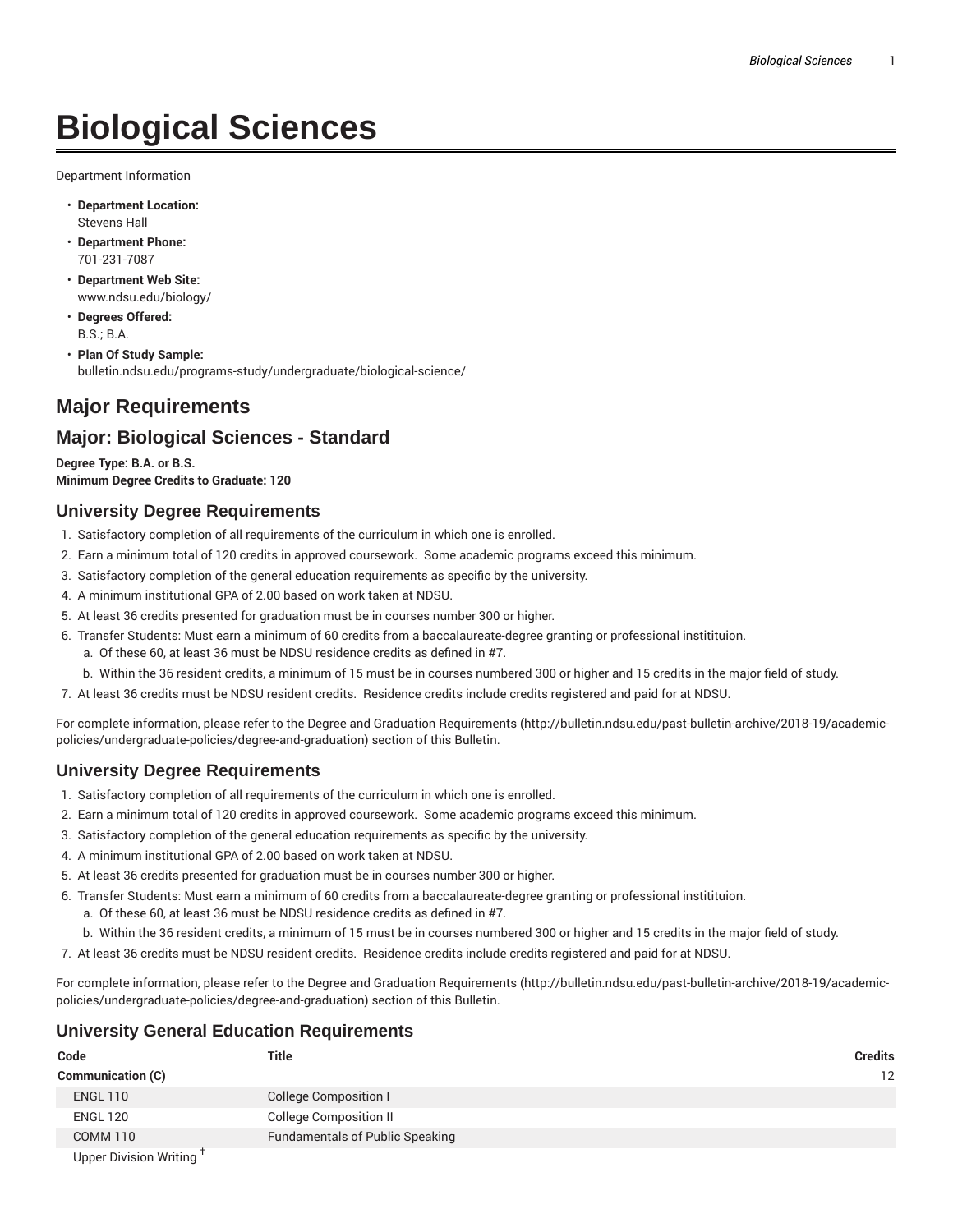# **Biological Sciences**

Department Information

- **Department Location:** Stevens Hall
- **Department Phone:** 701-231-7087
- **Department Web Site:** www.ndsu.edu/biology/
- **Degrees Offered:** B.S.; B.A.
- **Plan Of Study Sample:** bulletin.ndsu.edu/programs-study/undergraduate/biological-science/

# **Major Requirements**

## **Major: Biological Sciences - Standard**

**Degree Type: B.A. or B.S. Minimum Degree Credits to Graduate: 120**

#### **University Degree Requirements**

- 1. Satisfactory completion of all requirements of the curriculum in which one is enrolled.
- 2. Earn a minimum total of 120 credits in approved coursework. Some academic programs exceed this minimum.
- 3. Satisfactory completion of the general education requirements as specific by the university.
- 4. A minimum institutional GPA of 2.00 based on work taken at NDSU.
- 5. At least 36 credits presented for graduation must be in courses number 300 or higher.
- 6. Transfer Students: Must earn a minimum of 60 credits from a baccalaureate-degree granting or professional institituion.
	- a. Of these 60, at least 36 must be NDSU residence credits as defined in #7.
	- b. Within the 36 resident credits, a minimum of 15 must be in courses numbered 300 or higher and 15 credits in the major field of study.
- 7. At least 36 credits must be NDSU resident credits. Residence credits include credits registered and paid for at NDSU.

For complete information, please refer to the Degree and Graduation Requirements (http://bulletin.ndsu.edu/past-bulletin-archive/2018-19/academicpolicies/undergraduate-policies/degree-and-graduation) section of this Bulletin.

## **University Degree Requirements**

- 1. Satisfactory completion of all requirements of the curriculum in which one is enrolled.
- 2. Earn a minimum total of 120 credits in approved coursework. Some academic programs exceed this minimum.
- 3. Satisfactory completion of the general education requirements as specific by the university.
- 4. A minimum institutional GPA of 2.00 based on work taken at NDSU.
- 5. At least 36 credits presented for graduation must be in courses number 300 or higher.
- 6. Transfer Students: Must earn a minimum of 60 credits from a baccalaureate-degree granting or professional institituion. a. Of these 60, at least 36 must be NDSU residence credits as defined in #7.
	- b. Within the 36 resident credits, a minimum of 15 must be in courses numbered 300 or higher and 15 credits in the major field of study.
- 7. At least 36 credits must be NDSU resident credits. Residence credits include credits registered and paid for at NDSU.

For complete information, please refer to the Degree and Graduation Requirements (http://bulletin.ndsu.edu/past-bulletin-archive/2018-19/academicpolicies/undergraduate-policies/degree-and-graduation) section of this Bulletin.

## **University General Education Requirements**

| Code                                | <b>Title</b>                           | <b>Credits</b> |
|-------------------------------------|----------------------------------------|----------------|
| <b>Communication (C)</b>            |                                        | 12             |
| <b>ENGL 110</b>                     | <b>College Composition I</b>           |                |
| <b>ENGL 120</b>                     | <b>College Composition II</b>          |                |
| COMM 110                            | <b>Fundamentals of Public Speaking</b> |                |
| Upper Division Writing <sup>T</sup> |                                        |                |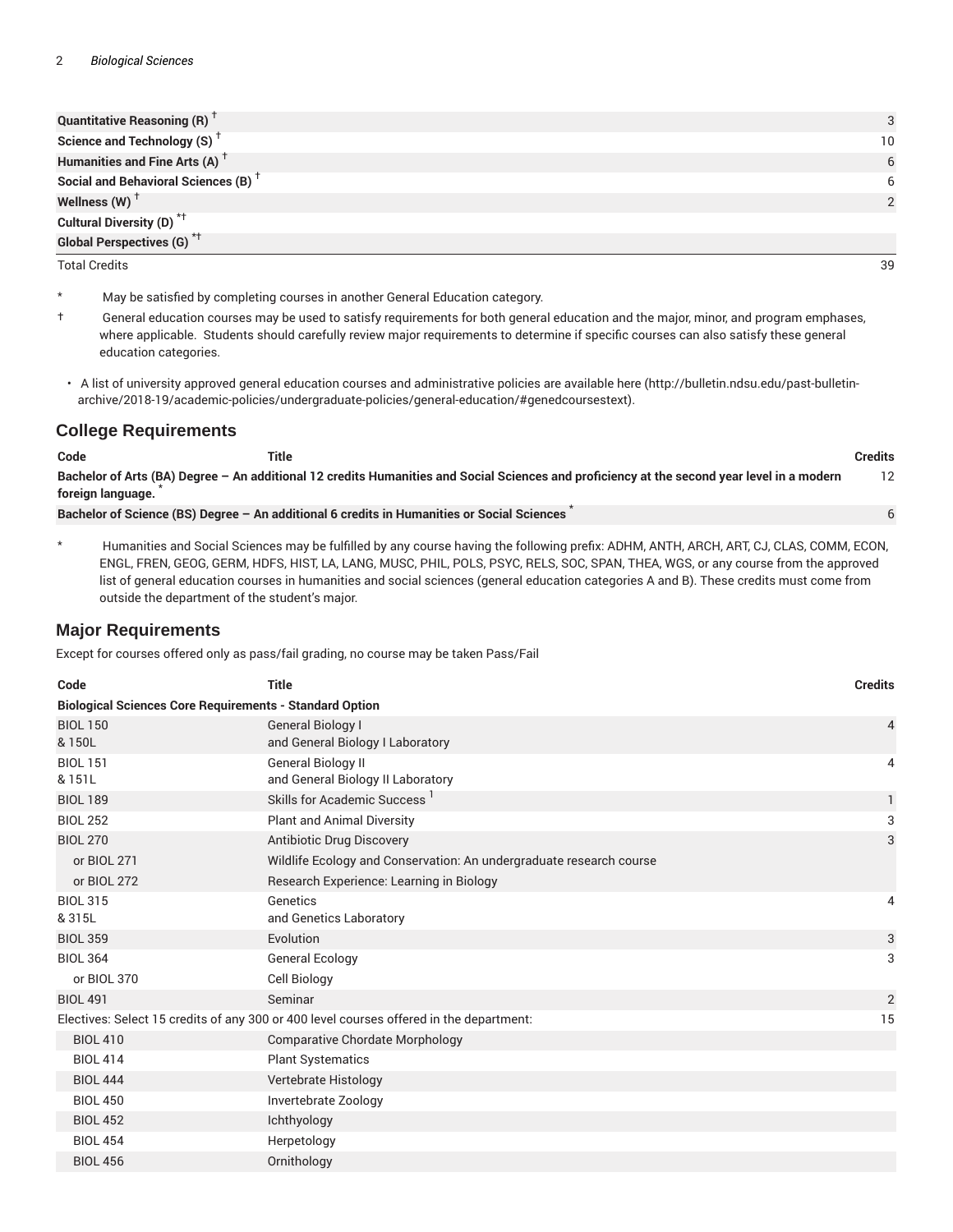| <b>Quantitative Reasoning (R)</b> T             | 3  |
|-------------------------------------------------|----|
| Science and Technology (S) <sup>+</sup>         | 10 |
| Humanities and Fine Arts (A) <sup>+</sup>       | 6  |
| Social and Behavioral Sciences (B) <sup>+</sup> | 6  |
| Wellness (W) $^{\top}$                          |    |
| Cultural Diversity (D) <sup>*†</sup>            |    |
| <b>Global Perspectives (G)<sup>*†</sup></b>     |    |
| <b>Total Credits</b>                            | 39 |

- \* May be satisfied by completing courses in another General Education category.
- † General education courses may be used to satisfy requirements for both general education and the major, minor, and program emphases, where applicable. Students should carefully review major requirements to determine if specific courses can also satisfy these general education categories.
- A list of university approved general education courses and administrative policies are available here (http://bulletin.ndsu.edu/past-bulletinarchive/2018-19/academic-policies/undergraduate-policies/general-education/#genedcoursestext).

#### **College Requirements**

| Code              | Title                                                                                                                                       | Credits |
|-------------------|---------------------------------------------------------------------------------------------------------------------------------------------|---------|
| foreign language. | Bachelor of Arts (BA) Degree - An additional 12 credits Humanities and Social Sciences and proficiency at the second year level in a modern | 12      |
|                   | Bachelor of Science (BS) Degree - An additional 6 credits in Humanities or Social Sciences                                                  |         |

\* Humanities and Social Sciences may be fulfilled by any course having the following prefix: ADHM, ANTH, ARCH, ART, CJ, CLAS, COMM, ECON, ENGL, FREN, GEOG, GERM, HDFS, HIST, LA, LANG, MUSC, PHIL, POLS, PSYC, RELS, SOC, SPAN, THEA, WGS, or any course from the approved list of general education courses in humanities and social sciences (general education categories A and B). These credits must come from outside the department of the student's major.

#### **Major Requirements**

Except for courses offered only as pass/fail grading, no course may be taken Pass/Fail

| Code                                                           | <b>Title</b>                                                                            | <b>Credits</b> |
|----------------------------------------------------------------|-----------------------------------------------------------------------------------------|----------------|
| <b>Biological Sciences Core Requirements - Standard Option</b> |                                                                                         |                |
| <b>BIOL 150</b><br>& 150L                                      | General Biology I<br>and General Biology I Laboratory                                   | 4              |
| <b>BIOL 151</b><br>& 151L                                      | General Biology II<br>and General Biology II Laboratory                                 | 4              |
| <b>BIOL 189</b>                                                | Skills for Academic Success <sup>1</sup>                                                | 1              |
| <b>BIOL 252</b>                                                | <b>Plant and Animal Diversity</b>                                                       | 3              |
| <b>BIOL 270</b>                                                | Antibiotic Drug Discovery                                                               | 3              |
| or BIOL 271                                                    | Wildlife Ecology and Conservation: An undergraduate research course                     |                |
| or BIOL 272                                                    | Research Experience: Learning in Biology                                                |                |
| <b>BIOL 315</b><br>& 315L                                      | Genetics<br>and Genetics Laboratory                                                     | 4              |
| <b>BIOL 359</b>                                                | Evolution                                                                               | 3              |
| <b>BIOL 364</b>                                                | <b>General Ecology</b>                                                                  | 3              |
| or BIOL 370                                                    | Cell Biology                                                                            |                |
| <b>BIOL 491</b>                                                | Seminar                                                                                 | $\overline{2}$ |
|                                                                | Electives: Select 15 credits of any 300 or 400 level courses offered in the department: | 15             |
| <b>BIOL 410</b>                                                | <b>Comparative Chordate Morphology</b>                                                  |                |
| <b>BIOL 414</b>                                                | <b>Plant Systematics</b>                                                                |                |
| <b>BIOL 444</b>                                                | Vertebrate Histology                                                                    |                |
| <b>BIOL 450</b>                                                | Invertebrate Zoology                                                                    |                |
| <b>BIOL 452</b>                                                | Ichthyology                                                                             |                |
| <b>BIOL 454</b>                                                | Herpetology                                                                             |                |
| <b>BIOL 456</b>                                                | Ornithology                                                                             |                |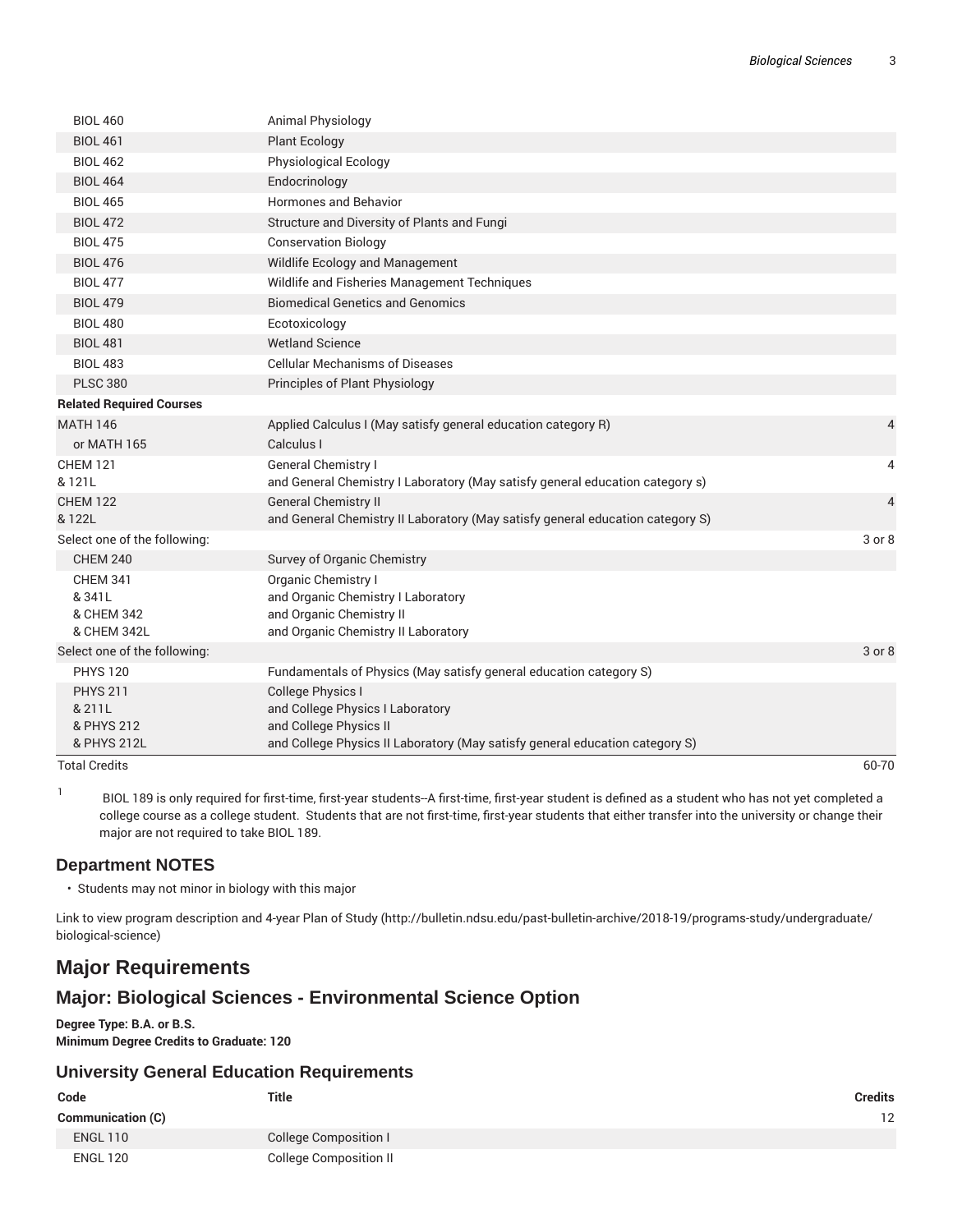| <b>Total Credits</b>                                   |                                                                                                                                                                 | 60-70  |
|--------------------------------------------------------|-----------------------------------------------------------------------------------------------------------------------------------------------------------------|--------|
| <b>PHYS 211</b><br>& 211L<br>& PHYS 212<br>& PHYS 212L | College Physics I<br>and College Physics I Laboratory<br>and College Physics II<br>and College Physics II Laboratory (May satisfy general education category S) |        |
| <b>PHYS 120</b>                                        | Fundamentals of Physics (May satisfy general education category S)                                                                                              |        |
| Select one of the following:                           |                                                                                                                                                                 | 3 or 8 |
| <b>CHEM 341</b><br>& 341L<br>& CHEM 342<br>& CHEM 342L | Organic Chemistry I<br>and Organic Chemistry I Laboratory<br>and Organic Chemistry II<br>and Organic Chemistry II Laboratory                                    |        |
| <b>CHEM 240</b>                                        | Survey of Organic Chemistry                                                                                                                                     |        |
| Select one of the following:                           |                                                                                                                                                                 | 3 or 8 |
| <b>CHEM 122</b><br>& 122L                              | <b>General Chemistry II</b><br>and General Chemistry II Laboratory (May satisfy general education category S)                                                   | 4      |
| <b>CHEM 121</b><br>& 121L                              | General Chemistry I<br>and General Chemistry I Laboratory (May satisfy general education category s)                                                            | 4      |
| or MATH 165                                            | Calculus I                                                                                                                                                      |        |
| <b>MATH 146</b>                                        | Applied Calculus I (May satisfy general education category R)                                                                                                   | 4      |
| <b>Related Required Courses</b>                        |                                                                                                                                                                 |        |
| <b>PLSC 380</b>                                        | Principles of Plant Physiology                                                                                                                                  |        |
| <b>BIOL 483</b>                                        | <b>Cellular Mechanisms of Diseases</b>                                                                                                                          |        |
| <b>BIOL 481</b>                                        | <b>Wetland Science</b>                                                                                                                                          |        |
| <b>BIOL 480</b>                                        | Ecotoxicology                                                                                                                                                   |        |
| <b>BIOL 479</b>                                        | <b>Biomedical Genetics and Genomics</b>                                                                                                                         |        |
| <b>BIOL 477</b>                                        | Wildlife Ecology and Management<br>Wildlife and Fisheries Management Techniques                                                                                 |        |
| <b>BIOL 475</b><br><b>BIOL 476</b>                     | <b>Conservation Biology</b>                                                                                                                                     |        |
| <b>BIOL 472</b>                                        | Structure and Diversity of Plants and Fungi                                                                                                                     |        |
| <b>BIOL 465</b>                                        | Hormones and Behavior                                                                                                                                           |        |
| <b>BIOL 464</b>                                        | Endocrinology                                                                                                                                                   |        |
| <b>BIOL 462</b>                                        | Physiological Ecology                                                                                                                                           |        |
| <b>BIOL 461</b>                                        | <b>Plant Ecology</b>                                                                                                                                            |        |
| <b>BIOL 460</b>                                        | <b>Animal Physiology</b>                                                                                                                                        |        |
|                                                        |                                                                                                                                                                 |        |

1 BIOL 189 is only required for first-time, first-year students--A first-time, first-year student is defined as a student who has not yet completed a college course as a college student. Students that are not first-time, first-year students that either transfer into the university or change their major are not required to take BIOL 189.

## **Department NOTES**

• Students may not minor in biology with this major

Link to view program description and 4-year Plan of Study (http://bulletin.ndsu.edu/past-bulletin-archive/2018-19/programs-study/undergraduate/ biological-science)

# **Major Requirements**

# **Major: Biological Sciences - Environmental Science Option**

**Degree Type: B.A. or B.S. Minimum Degree Credits to Graduate: 120**

## **University General Education Requirements**

| Code                     | Title                         | <b>Credits</b>    |
|--------------------------|-------------------------------|-------------------|
| <b>Communication (C)</b> |                               | $12 \overline{ }$ |
| <b>ENGL 110</b>          | <b>College Composition I</b>  |                   |
| <b>ENGL 120</b>          | <b>College Composition II</b> |                   |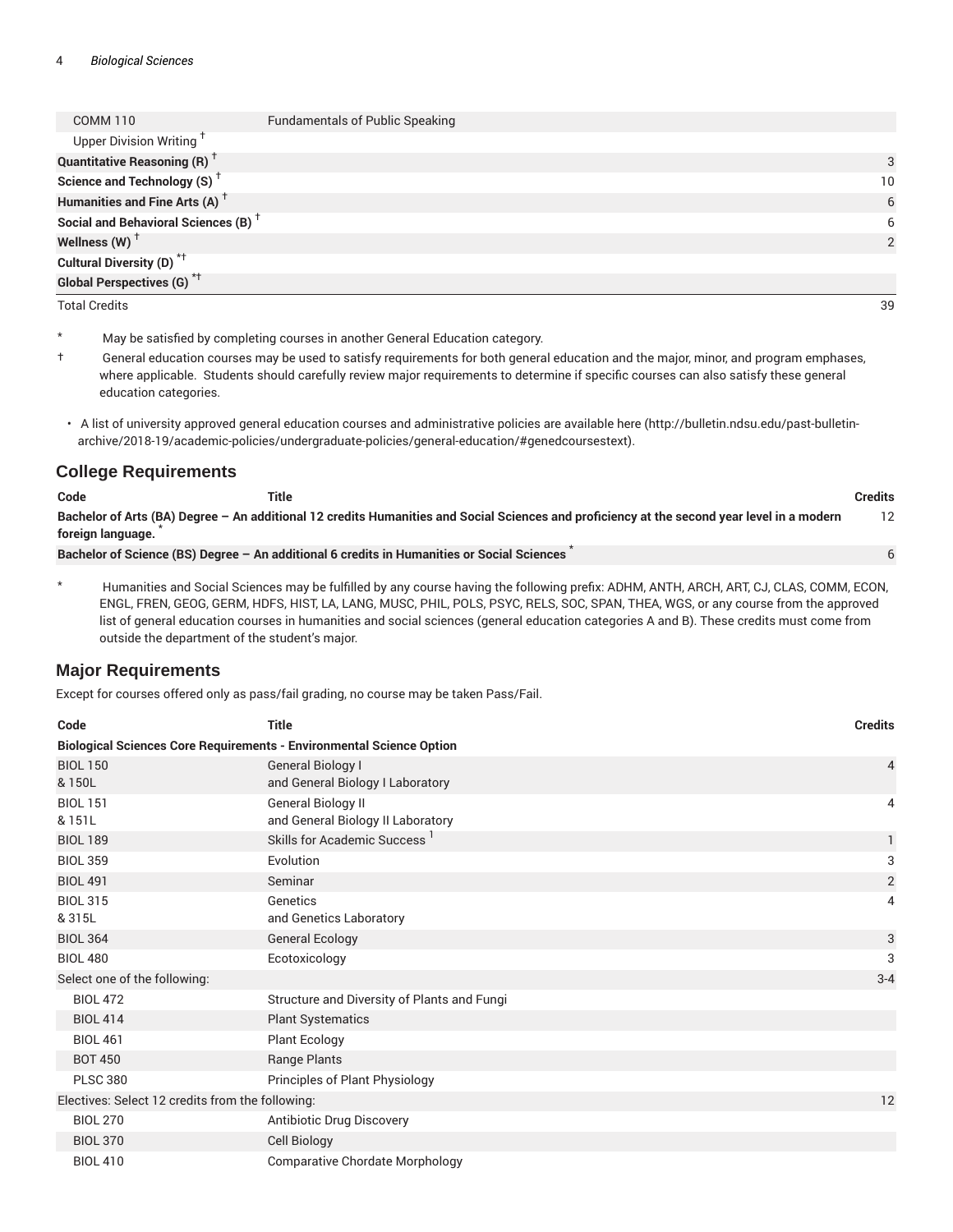#### 4 *Biological Sciences*

| COMM 110                                        | <b>Fundamentals of Public Speaking</b> |                 |
|-------------------------------------------------|----------------------------------------|-----------------|
| Upper Division Writing <sup>+</sup>             |                                        |                 |
| <b>Quantitative Reasoning (R)</b> <sup>†</sup>  |                                        | 3               |
| Science and Technology (S) <sup>+</sup>         |                                        | 10 <sup>°</sup> |
| Humanities and Fine Arts (A) <sup>+</sup>       |                                        | 6               |
| Social and Behavioral Sciences (B) <sup>+</sup> |                                        | 6               |
| Wellness (W) $^{\dagger}$                       |                                        | $\mathcal{P}$   |
| Cultural Diversity (D) <sup>*†</sup>            |                                        |                 |
| Global Perspectives (G) <sup>*+</sup>           |                                        |                 |
| <b>Total Credits</b>                            |                                        | 39              |

- May be satisfied by completing courses in another General Education category.
- † General education courses may be used to satisfy requirements for both general education and the major, minor, and program emphases, where applicable. Students should carefully review major requirements to determine if specific courses can also satisfy these general education categories.
- A list of university approved general education courses and administrative policies are available here (http://bulletin.ndsu.edu/past-bulletinarchive/2018-19/academic-policies/undergraduate-policies/general-education/#genedcoursestext).

## **College Requirements**

| Code              | Title                                                                                                                                       | Credits |
|-------------------|---------------------------------------------------------------------------------------------------------------------------------------------|---------|
|                   | Bachelor of Arts (BA) Degree – An additional 12 credits Humanities and Social Sciences and proficiency at the second year level in a modern |         |
| foreign language. |                                                                                                                                             |         |
|                   | Bachelor of Science (BS) Degree - An additional 6 credits in Humanities or Social Sciences                                                  |         |

\* Humanities and Social Sciences may be fulfilled by any course having the following prefix: ADHM, ANTH, ARCH, ART, CJ, CLAS, COMM, ECON, ENGL, FREN, GEOG, GERM, HDFS, HIST, LA, LANG, MUSC, PHIL, POLS, PSYC, RELS, SOC, SPAN, THEA, WGS, or any course from the approved list of general education courses in humanities and social sciences (general education categories A and B). These credits must come from outside the department of the student's major.

## **Major Requirements**

Except for courses offered only as pass/fail grading, no course may be taken Pass/Fail.

| Code                                             | <b>Title</b>                                                                | <b>Credits</b> |  |
|--------------------------------------------------|-----------------------------------------------------------------------------|----------------|--|
|                                                  | <b>Biological Sciences Core Requirements - Environmental Science Option</b> |                |  |
| <b>BIOL 150</b><br>& 150L                        | <b>General Biology I</b><br>and General Biology I Laboratory                | $\overline{4}$ |  |
| <b>BIOL 151</b><br>& 151L                        | General Biology II<br>and General Biology II Laboratory                     | 4              |  |
| <b>BIOL 189</b>                                  | Skills for Academic Success <sup>1</sup>                                    | 1              |  |
| <b>BIOL 359</b>                                  | Evolution                                                                   | 3              |  |
| <b>BIOL 491</b>                                  | Seminar                                                                     | $\sqrt{2}$     |  |
| <b>BIOL 315</b><br>& 315L                        | Genetics<br>and Genetics Laboratory                                         | 4              |  |
| <b>BIOL 364</b>                                  | <b>General Ecology</b>                                                      | 3              |  |
| <b>BIOL 480</b>                                  | Ecotoxicology                                                               | 3              |  |
| Select one of the following:                     |                                                                             | $3 - 4$        |  |
| <b>BIOL 472</b>                                  | Structure and Diversity of Plants and Fungi                                 |                |  |
| <b>BIOL 414</b>                                  | <b>Plant Systematics</b>                                                    |                |  |
| <b>BIOL 461</b>                                  | <b>Plant Ecology</b>                                                        |                |  |
| <b>BOT 450</b>                                   | Range Plants                                                                |                |  |
| <b>PLSC 380</b>                                  | Principles of Plant Physiology                                              |                |  |
| Electives: Select 12 credits from the following: |                                                                             | 12             |  |
| <b>BIOL 270</b>                                  | Antibiotic Drug Discovery                                                   |                |  |
| <b>BIOL 370</b>                                  | Cell Biology                                                                |                |  |
| <b>BIOL 410</b>                                  | <b>Comparative Chordate Morphology</b>                                      |                |  |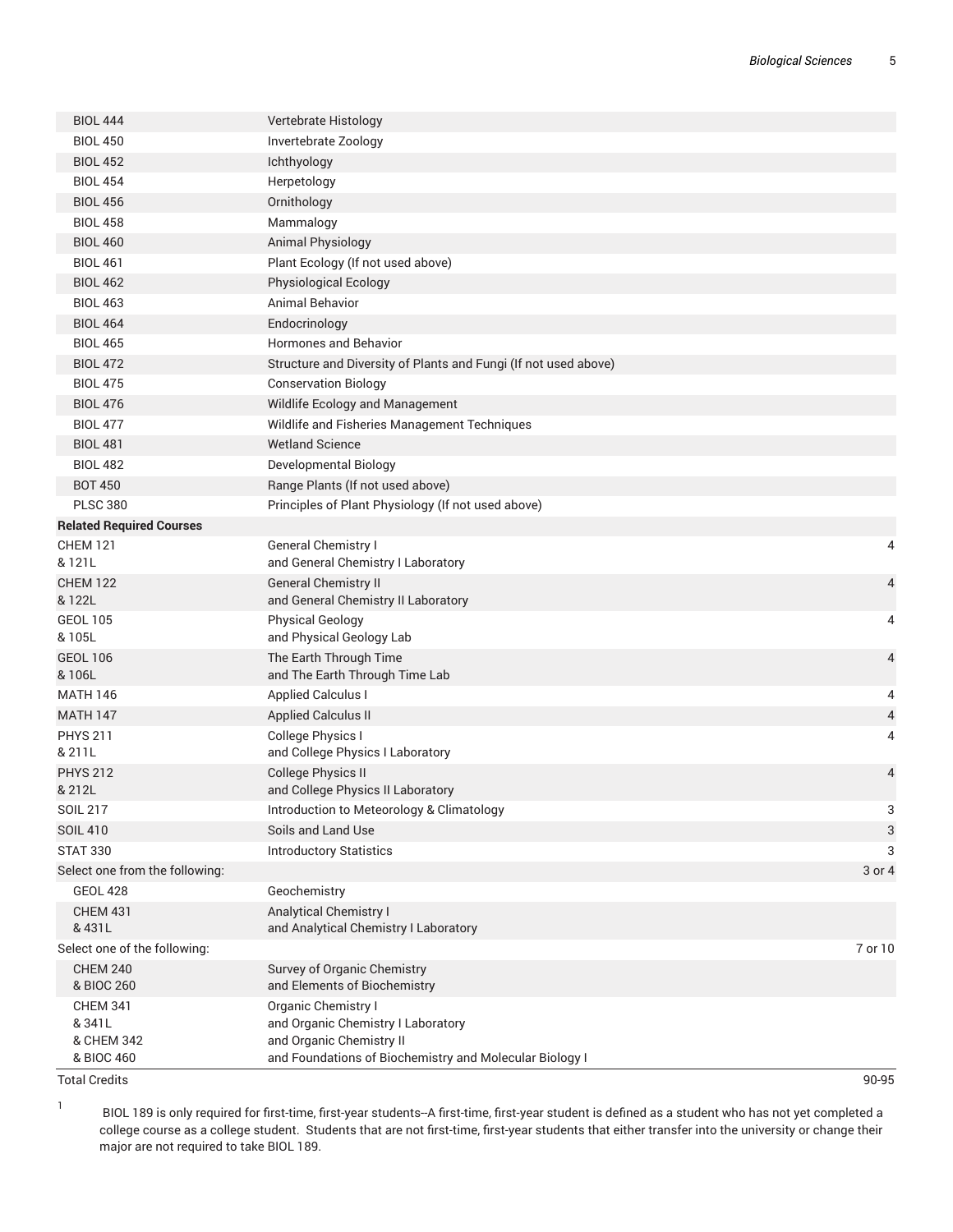| <b>BIOL 444</b>                 | Vertebrate Histology                                                           |         |
|---------------------------------|--------------------------------------------------------------------------------|---------|
| <b>BIOL 450</b>                 | Invertebrate Zoology                                                           |         |
| <b>BIOL 452</b>                 | Ichthyology                                                                    |         |
| <b>BIOL 454</b>                 | Herpetology                                                                    |         |
| <b>BIOL 456</b>                 | Ornithology                                                                    |         |
| <b>BIOL 458</b>                 | Mammalogy                                                                      |         |
| <b>BIOL 460</b>                 | Animal Physiology                                                              |         |
| <b>BIOL 461</b>                 | Plant Ecology (If not used above)                                              |         |
| <b>BIOL 462</b>                 | Physiological Ecology                                                          |         |
| <b>BIOL 463</b>                 | <b>Animal Behavior</b>                                                         |         |
| <b>BIOL 464</b>                 | Endocrinology                                                                  |         |
| <b>BIOL 465</b>                 | Hormones and Behavior                                                          |         |
| <b>BIOL 472</b>                 | Structure and Diversity of Plants and Fungi (If not used above)                |         |
| <b>BIOL 475</b>                 | <b>Conservation Biology</b>                                                    |         |
| <b>BIOL 476</b>                 | Wildlife Ecology and Management                                                |         |
| <b>BIOL 477</b>                 | Wildlife and Fisheries Management Techniques                                   |         |
| <b>BIOL 481</b>                 | <b>Wetland Science</b>                                                         |         |
| <b>BIOL 482</b>                 | Developmental Biology                                                          |         |
| <b>BOT 450</b>                  | Range Plants (If not used above)                                               |         |
| <b>PLSC 380</b>                 | Principles of Plant Physiology (If not used above)                             |         |
| <b>Related Required Courses</b> |                                                                                |         |
| <b>CHEM 121</b>                 | General Chemistry I                                                            | 4       |
| & 121L                          | and General Chemistry I Laboratory                                             |         |
| <b>CHEM 122</b>                 | <b>General Chemistry II</b>                                                    | 4       |
| & 122L                          | and General Chemistry II Laboratory                                            |         |
| <b>GEOL 105</b>                 | <b>Physical Geology</b>                                                        | 4       |
| & 105L                          | and Physical Geology Lab                                                       |         |
| <b>GEOL 106</b>                 | The Earth Through Time                                                         | 4       |
| & 106L                          | and The Earth Through Time Lab                                                 |         |
| <b>MATH 146</b>                 | <b>Applied Calculus I</b>                                                      | 4       |
| <b>MATH 147</b>                 | <b>Applied Calculus II</b>                                                     | 4       |
| <b>PHYS 211</b>                 | College Physics I                                                              | 4       |
| & 211L                          | and College Physics I Laboratory                                               |         |
| <b>PHYS 212</b><br>& 212L       | <b>College Physics II</b>                                                      | 4       |
| <b>SOIL 217</b>                 | and College Physics II Laboratory<br>Introduction to Meteorology & Climatology |         |
|                                 | Soils and Land Use                                                             | 3       |
| <b>SOIL 410</b>                 |                                                                                | 3       |
| <b>STAT 330</b>                 | <b>Introductory Statistics</b>                                                 | 3       |
| Select one from the following:  |                                                                                | 3 or 4  |
| <b>GEOL 428</b>                 | Geochemistry                                                                   |         |
| <b>CHEM 431</b><br>& 431L       | <b>Analytical Chemistry I</b><br>and Analytical Chemistry I Laboratory         |         |
| Select one of the following:    |                                                                                | 7 or 10 |
| <b>CHEM 240</b>                 | Survey of Organic Chemistry                                                    |         |
| & BIOC 260                      | and Elements of Biochemistry                                                   |         |
| <b>CHEM 341</b>                 | <b>Organic Chemistry I</b>                                                     |         |
| & 341L<br>& CHEM 342            | and Organic Chemistry I Laboratory<br>and Organic Chemistry II                 |         |
| & BIOC 460                      | and Foundations of Biochemistry and Molecular Biology I                        |         |

Total Credits 90-95

1

BIOL 189 is only required for first-time, first-year students--A first-time, first-year student is defined as a student who has not yet completed a college course as a college student. Students that are not first-time, first-year students that either transfer into the university or change their major are not required to take BIOL 189.